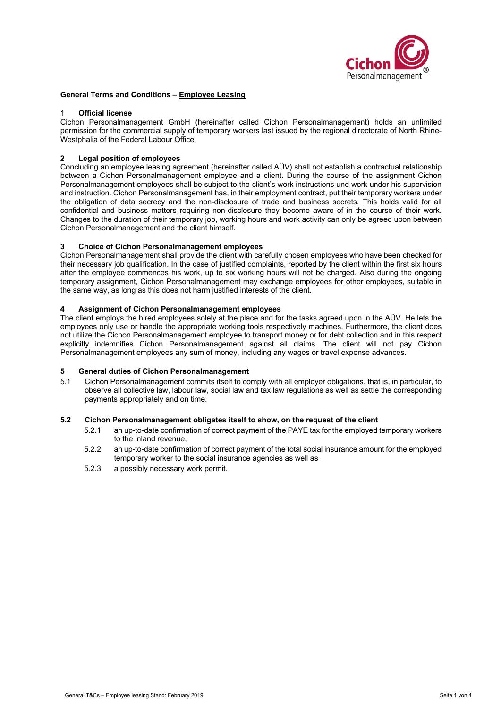

## **General Terms and Conditions – Employee Leasing**

#### 1 **Official license**

Cichon Personalmanagement GmbH (hereinafter called Cichon Personalmanagement) holds an unlimited permission for the commercial supply of temporary workers last issued by the regional directorate of North Rhine-Westphalia of the Federal Labour Office.

# **2 Legal position of employees**

Concluding an employee leasing agreement (hereinafter called AÜV) shall not establish a contractual relationship between a Cichon Personalmanagement employee and a client. During the course of the assignment Cichon Personalmanagement employees shall be subject to the client's work instructions und work under his supervision and instruction. Cichon Personalmanagement has, in their employment contract, put their temporary workers under the obligation of data secrecy and the non-disclosure of trade and business secrets. This holds valid for all confidential and business matters requiring non-disclosure they become aware of in the course of their work. Changes to the duration of their temporary job, working hours and work activity can only be agreed upon between Cichon Personalmanagement and the client himself.

## **3 Choice of Cichon Personalmanagement employees**

Cichon Personalmanagement shall provide the client with carefully chosen employees who have been checked for their necessary job qualification. In the case of justified complaints, reported by the client within the first six hours after the employee commences his work, up to six working hours will not be charged. Also during the ongoing temporary assignment, Cichon Personalmanagement may exchange employees for other employees, suitable in the same way, as long as this does not harm justified interests of the client.

## **4 Assignment of Cichon Personalmanagement employees**

The client employs the hired employees solely at the place and for the tasks agreed upon in the AÜV. He lets the employees only use or handle the appropriate working tools respectively machines. Furthermore, the client does not utilize the Cichon Personalmanagement employee to transport money or for debt collection and in this respect explicitly indemnifies Cichon Personalmanagement against all claims. The client will not pay Cichon Personalmanagement employees any sum of money, including any wages or travel expense advances.

# **5 General duties of Cichon Personalmanagement**

5.1 Cichon Personalmanagement commits itself to comply with all employer obligations, that is, in particular, to observe all collective law, labour law, social law and tax law regulations as well as settle the corresponding payments appropriately and on time.

#### **5.2 Cichon Personalmanagement obligates itself to show, on the request of the client**

- 5.2.1 an up-to-date confirmation of correct payment of the PAYE tax for the employed temporary workers to the inland revenue,
- 5.2.2 an up-to-date confirmation of correct payment of the total social insurance amount for the employed temporary worker to the social insurance agencies as well as
- 5.2.3 a possibly necessary work permit.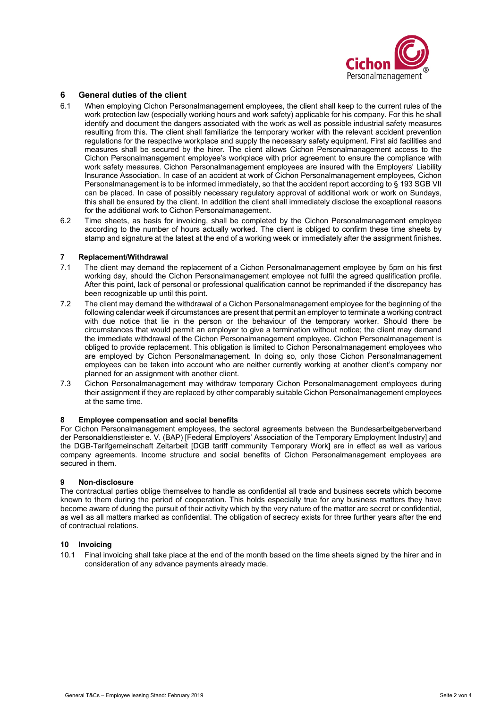

## **6 General duties of the client**

- 6.1 When employing Cichon Personalmanagement employees, the client shall keep to the current rules of the work protection law (especially working hours and work safety) applicable for his company. For this he shall identify and document the dangers associated with the work as well as possible industrial safety measures resulting from this. The client shall familiarize the temporary worker with the relevant accident prevention regulations for the respective workplace and supply the necessary safety equipment. First aid facilities and measures shall be secured by the hirer. The client allows Cichon Personalmanagement access to the Cichon Personalmanagement employee's workplace with prior agreement to ensure the compliance with work safety measures. Cichon Personalmanagement employees are insured with the Employers' Liability Insurance Association. In case of an accident at work of Cichon Personalmanagement employees, Cichon Personalmanagement is to be informed immediately, so that the accident report according to § 193 SGB VII can be placed. In case of possibly necessary regulatory approval of additional work or work on Sundays, this shall be ensured by the client. In addition the client shall immediately disclose the exceptional reasons for the additional work to Cichon Personalmanagement.
- 6.2 Time sheets, as basis for invoicing, shall be completed by the Cichon Personalmanagement employee according to the number of hours actually worked. The client is obliged to confirm these time sheets by stamp and signature at the latest at the end of a working week or immediately after the assignment finishes.

#### **7 Replacement/Withdrawal**

- 7.1 The client may demand the replacement of a Cichon Personalmanagement employee by 5pm on his first working day, should the Cichon Personalmanagement employee not fulfil the agreed qualification profile. After this point, lack of personal or professional qualification cannot be reprimanded if the discrepancy has been recognizable up until this point.
- 7.2 The client may demand the withdrawal of a Cichon Personalmanagement employee for the beginning of the following calendar week if circumstances are present that permit an employer to terminate a working contract with due notice that lie in the person or the behaviour of the temporary worker. Should there be circumstances that would permit an employer to give a termination without notice; the client may demand the immediate withdrawal of the Cichon Personalmanagement employee. Cichon Personalmanagement is obliged to provide replacement. This obligation is limited to Cichon Personalmanagement employees who are employed by Cichon Personalmanagement. In doing so, only those Cichon Personalmanagement employees can be taken into account who are neither currently working at another client's company nor planned for an assignment with another client.
- 7.3 Cichon Personalmanagement may withdraw temporary Cichon Personalmanagement employees during their assignment if they are replaced by other comparably suitable Cichon Personalmanagement employees at the same time.

#### **8 Employee compensation and social benefits**

For Cichon Personalmanagement employees, the sectoral agreements between the Bundesarbeitgeberverband der Personaldienstleister e. V. (BAP) [Federal Employers' Association of the Temporary Employment Industry] and the DGB-Tarifgemeinschaft Zeitarbeit [DGB tariff community Temporary Work] are in effect as well as various company agreements. Income structure and social benefits of Cichon Personalmanagement employees are secured in them.

#### **9 Non-disclosure**

The contractual parties oblige themselves to handle as confidential all trade and business secrets which become known to them during the period of cooperation. This holds especially true for any business matters they have become aware of during the pursuit of their activity which by the very nature of the matter are secret or confidential, as well as all matters marked as confidential. The obligation of secrecy exists for three further years after the end of contractual relations.

#### **10 Invoicing**

10.1 Final invoicing shall take place at the end of the month based on the time sheets signed by the hirer and in consideration of any advance payments already made.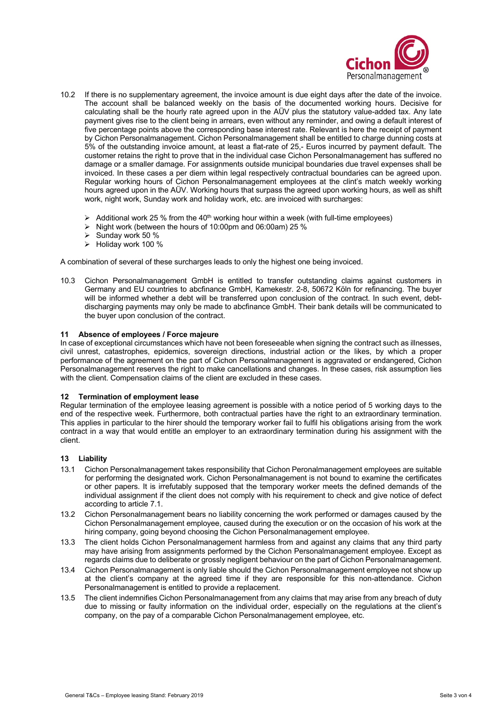

- 10.2 If there is no supplementary agreement, the invoice amount is due eight days after the date of the invoice. The account shall be balanced weekly on the basis of the documented working hours. Decisive for calculating shall be the hourly rate agreed upon in the AÜV plus the statutory value-added tax. Any late payment gives rise to the client being in arrears, even without any reminder, and owing a default interest of five percentage points above the corresponding base interest rate. Relevant is here the receipt of payment by Cichon Personalmanagement. Cichon Personalmanagement shall be entitled to charge dunning costs at 5% of the outstanding invoice amount, at least a flat-rate of 25,- Euros incurred by payment default. The customer retains the right to prove that in the individual case Cichon Personalmanagement has suffered no damage or a smaller damage. For assignments outside municipal boundaries due travel expenses shall be invoiced. In these cases a per diem within legal respectively contractual boundaries can be agreed upon. Regular working hours of Cichon Personalmanagement employees at the clint's match weekly working hours agreed upon in the AÜV. Working hours that surpass the agreed upon working hours, as well as shift work, night work, Sunday work and holiday work, etc. are invoiced with surcharges:
	- $\triangleright$  Additional work 25 % from the 40<sup>th</sup> working hour within a week (with full-time employees)
	- Night work (between the hours of 10:00pm and 06:00am) 25  $\%$
	- Ø Sunday work 50 %
	- Ø Holiday work 100 %

A combination of several of these surcharges leads to only the highest one being invoiced.

10.3 Cichon Personalmanagement GmbH is entitled to transfer outstanding claims against customers in Germany and EU countries to abcfinance GmbH, Kamekestr. 2-8, 50672 Köln for refinancing. The buyer will be informed whether a debt will be transferred upon conclusion of the contract. In such event, debtdischarging payments may only be made to abcfinance GmbH. Their bank details will be communicated to the buyer upon conclusion of the contract.

#### **11 Absence of employees / Force majeure**

In case of exceptional circumstances which have not been foreseeable when signing the contract such as illnesses, civil unrest, catastrophes, epidemics, sovereign directions, industrial action or the likes, by which a proper performance of the agreement on the part of Cichon Personalmanagement is aggravated or endangered, Cichon Personalmanagement reserves the right to make cancellations and changes. In these cases, risk assumption lies with the client. Compensation claims of the client are excluded in these cases.

#### **12 Termination of employment lease**

Regular termination of the employee leasing agreement is possible with a notice period of 5 working days to the end of the respective week. Furthermore, both contractual parties have the right to an extraordinary termination. This applies in particular to the hirer should the temporary worker fail to fulfil his obligations arising from the work contract in a way that would entitle an employer to an extraordinary termination during his assignment with the client.

#### **13 Liability**

- 13.1 Cichon Personalmanagement takes responsibility that Cichon Peronalmanagement employees are suitable for performing the designated work. Cichon Personalmanagement is not bound to examine the certificates or other papers. It is irrefutably supposed that the temporary worker meets the defined demands of the individual assignment if the client does not comply with his requirement to check and give notice of defect according to article 7.1.
- 13.2 Cichon Personalmanagement bears no liability concerning the work performed or damages caused by the Cichon Personalmanagement employee, caused during the execution or on the occasion of his work at the hiring company, going beyond choosing the Cichon Personalmanagement employee.
- 13.3 The client holds Cichon Personalmanagement harmless from and against any claims that any third party may have arising from assignments performed by the Cichon Personalmanagement employee. Except as regards claims due to deliberate or grossly negligent behaviour on the part of Cichon Personalmanagement.
- 13.4 Cichon Personalmanagement is only liable should the Cichon Personalmanagement employee not show up at the client's company at the agreed time if they are responsible for this non-attendance. Cichon Personalmanagement is entitled to provide a replacement.
- 13.5 The client indemnifies Cichon Personalmanagement from any claims that may arise from any breach of duty due to missing or faulty information on the individual order, especially on the regulations at the client's company, on the pay of a comparable Cichon Personalmanagement employee, etc.